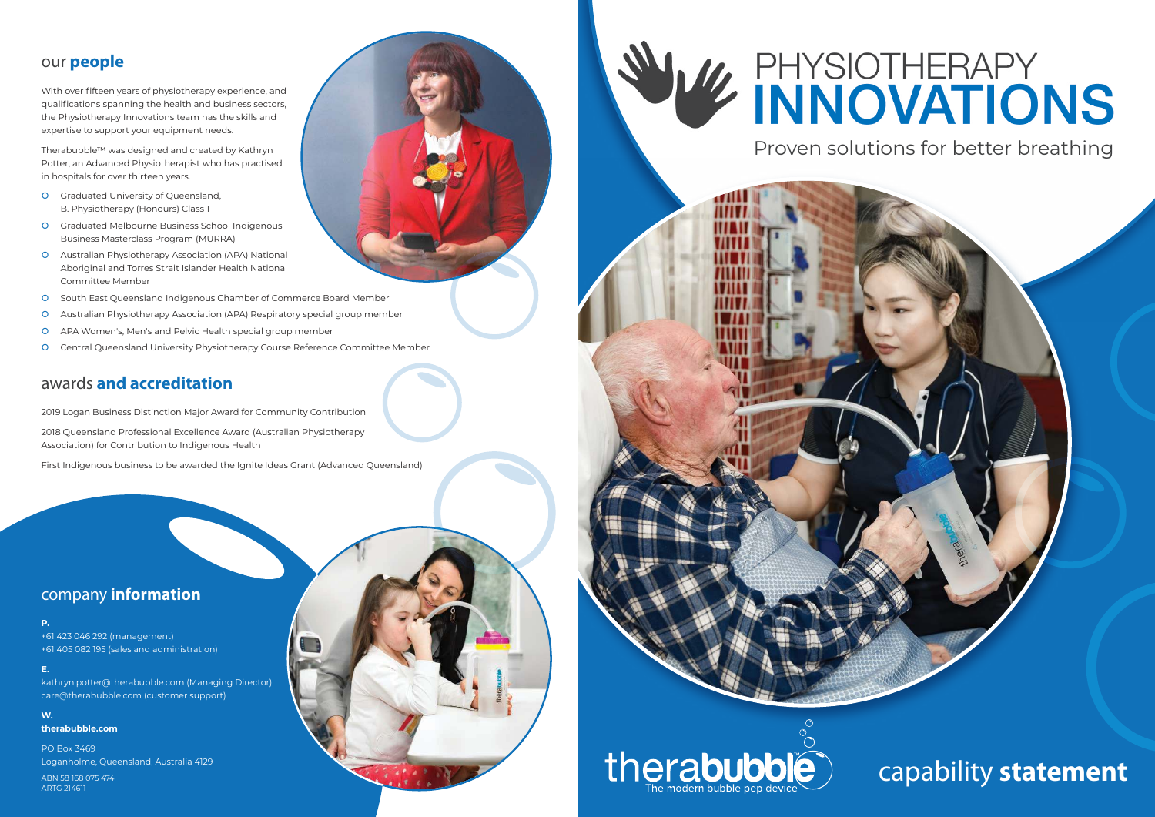## our **people**

With over fifteen years of physiotherapy experience, and qualifications spanning the health and business sectors, the Physiotherapy Innovations team has the skills and expertise to support your equipment needs.

Therabubble™ was designed and created by Kathryn Potter, an Advanced Physiotherapist who has practised in hospitals for over thirteen years.

- **O** Graduated University of Queensland, B. Physiotherapy (Honours) Class 1
- Graduated Melbourne Business School Indigenous Business Masterclass Program (MURRA)
- Australian Physiotherapy Association (APA) National Aboriginal and Torres Strait Islander Health National Committee Member
- South East Queensland Indigenous Chamber of Commerce Board Member
- Australian Physiotherapy Association (APA) Respiratory special group member
- APA Women's, Men's and Pelvic Health special group member
- Central Queensland University Physiotherapy Course Reference Committee Member

## awards **and accreditation**

2019 Logan Business Distinction Major Award for Community Contribution

2018 Queensland Professional Excellence Award (Australian Physiotherapy Association) for Contribution to Indigenous Health

First Indigenous business to be awarded the Ignite Ideas Grant (Advanced Queensland)

Proven solutions for better breathing

# capability statemen

## company **information**

#### **P.**

+61 423 046 292 (management) +61 405 082 195 (sales and administration)

**E.** 

kathryn.potter@therabubble.com (Managing Director) care@therabubble.com (customer support)

### **W.**

**therabubble.com**

PO Box 3469 Loganholme, Queensland, Australia 4129

ABN 58 168 075 474 ARTG 214611







# **EXPHYSIOTHERAPY INNOVATIONS**